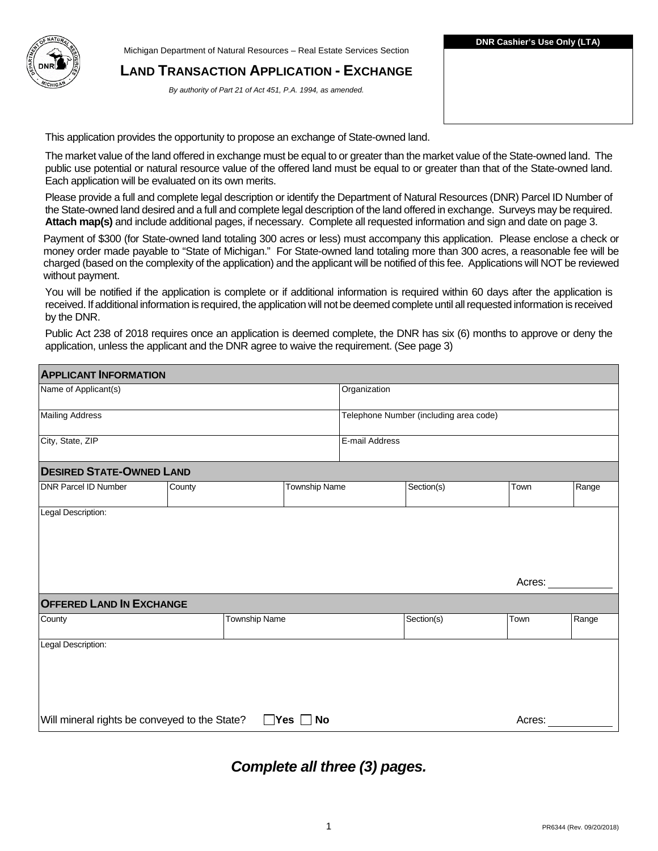Michigan Department of Natural Resources – Real Estate Services Section

#### **LAND TRANSACTION APPLICATION - EXCHANGE**

*By authority of Part 21 of Act 451, P.A. 1994, as amended.* 

This application provides the opportunity to propose an exchange of State-owned land.

 The market value of the land offered in exchange must be equal to or greater than the market value of the State-owned land. The public use potential or natural resource value of the offered land must be equal to or greater than that of the State-owned land. Each application will be evaluated on its own merits.

 Please provide a full and complete legal description or identify the Department of Natural Resources (DNR) Parcel ID Number of the State-owned land desired and a full and complete legal description of the land offered in exchange. Surveys may be required. **Attach map(s)** and include additional pages, if necessary. Complete all requested information and sign and date on page 3.

 Payment of \$300 (for State-owned land totaling 300 acres or less) must accompany this application. Please enclose a check or money order made payable to "State of Michigan." For State-owned land totaling more than 300 acres, a reasonable fee will be charged (based on the complexity of the application) and the applicant will be notified of this fee. Applications will NOT be reviewed without payment.

without payment.<br>You will be notified if the application is complete or if additional information is required within 60 days after the application is by the DNR. received. If additional information is required, the application will not be deemed complete until all requested information is received

 Public Act 238 of 2018 requires once an application is deemed complete, the DNR has six (6) months to approve or deny the application, unless the applicant and the DNR agree to waive the requirement. (See page 3)

| <b>DESIRED STATE-OWNED LAND</b><br>County | <b>Township Name</b> | Organization<br>E-mail Address               | Telephone Number (including area code)<br>Section(s) | Town   | Range |
|-------------------------------------------|----------------------|----------------------------------------------|------------------------------------------------------|--------|-------|
|                                           |                      |                                              |                                                      |        |       |
|                                           |                      |                                              |                                                      |        |       |
|                                           |                      |                                              |                                                      |        |       |
|                                           |                      |                                              |                                                      |        |       |
|                                           |                      |                                              |                                                      |        |       |
| <b>OFFERED LAND IN EXCHANGE</b>           |                      |                                              |                                                      | Acres: |       |
|                                           |                      |                                              | Section(s)                                           | Town   | Range |
|                                           |                      |                                              |                                                      | Acres: |       |
|                                           |                      | <b>Township Name</b><br>$\Box$ Yes $\Box$ No | Will mineral rights be conveyed to the State?        |        |       |

# *Complete all three (3) pages.*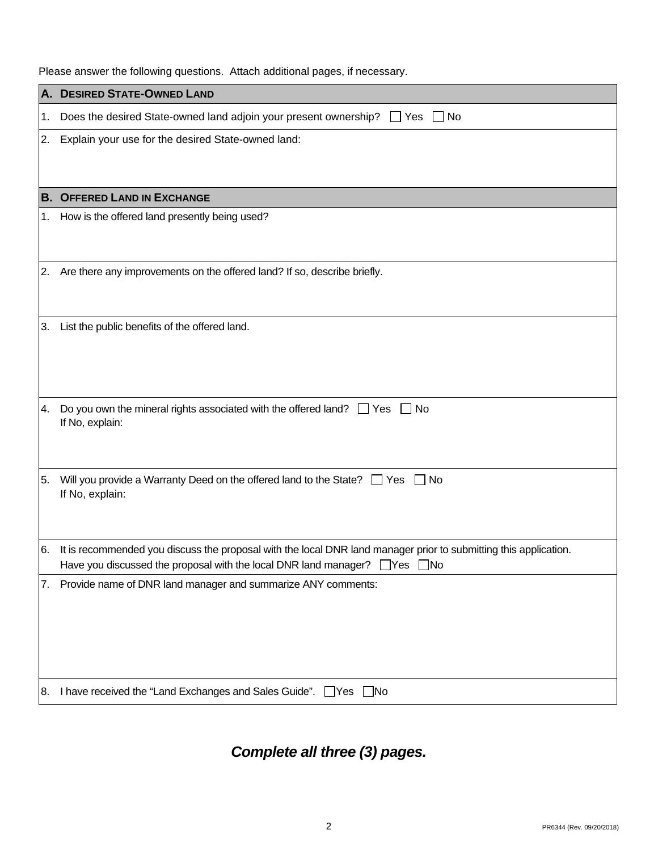|  | Please answer the following questions. Attach additional pages, if necessary. |
|--|-------------------------------------------------------------------------------|
|--|-------------------------------------------------------------------------------|

|     | A. DESIRED STATE-OWNED LAND                                                                                                                                                                               |
|-----|-----------------------------------------------------------------------------------------------------------------------------------------------------------------------------------------------------------|
| 1.  | Does the desired State-owned land adjoin your present ownership? $\Box$ Yes<br>∣ ∣No                                                                                                                      |
| 2.  | Explain your use for the desired State-owned land:                                                                                                                                                        |
|     | <b>B. OFFERED LAND IN EXCHANGE</b>                                                                                                                                                                        |
| 1.  | How is the offered land presently being used?                                                                                                                                                             |
| 2.  | Are there any improvements on the offered land? If so, describe briefly.                                                                                                                                  |
| 3.  | List the public benefits of the offered land.                                                                                                                                                             |
| l4. | Do you own the mineral rights associated with the offered land? $\Box$ Yes $\Box$ No<br>If No, explain:                                                                                                   |
| 5.  | Will you provide a Warranty Deed on the offered land to the State? $\Box$ Yes $\Box$ No<br>If No, explain:                                                                                                |
| 6.  | It is recommended you discuss the proposal with the local DNR land manager prior to submitting this application.<br>Have you discussed the proposal with the local DNR land manager? $\Box$ Yes $\Box$ No |
| 7.  | Provide name of DNR land manager and summarize ANY comments:                                                                                                                                              |
|     | 8. I have received the "Land Exchanges and Sales Guide". □ Yes □ No                                                                                                                                       |

*Complete all three (3) pages.*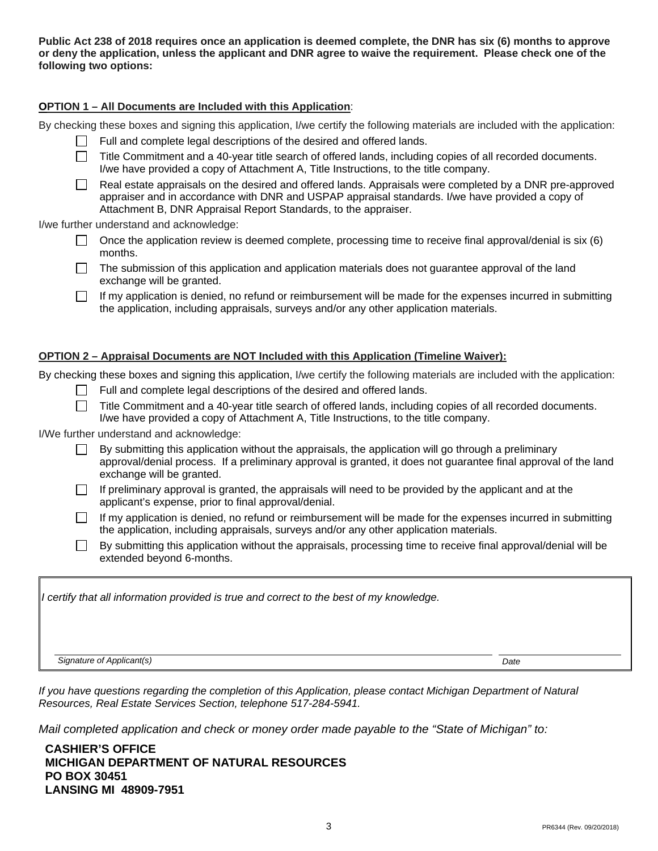**Public Act 238 of 2018 requires once an application is deemed complete, the DNR has six (6) months to approve or deny the application, unless the applicant and DNR agree to waive the requirement. Please check one of the following two options:** 

#### **OPTION 1 – All Documents are Included with this Application**:

By checking these boxes and signing this application, I/we certify the following materials are included with the application:

- Full and complete legal descriptions of the desired and offered lands.
- $\Box$  Title Commitment and a 40-year title search of offered lands, including copies of all recorded documents. I/we have provided a copy of Attachment A, Title Instructions, to the title company.
	- Real estate appraisals on the desired and offered lands. Appraisals were completed by a DNR pre-approved appraiser and in accordance with DNR and USPAP appraisal standards. I/we have provided a copy of Attachment B, DNR Appraisal Report Standards, to the appraiser.

I/we further understand and acknowledge:

- Once the application review is deemed complete, processing time to receive final approval/denial is six (6) months.
- months.<br>The submission of this application and application materials does not guarantee approval of the land exchange will be granted.
- If my application is denied, no refund or reimbursement will be made for the expenses incurred in submitting the application, including appraisals, surveys and/or any other application materials.

#### **OPTION 2 – Appraisal Documents are NOT Included with this Application (Timeline Waiver):**

By checking these boxes and signing this application, I/we certify the following materials are included with the application:

- Full and complete legal descriptions of the desired and offered lands.
- Title Commitment and a 40-year title search of offered lands, including copies of all recorded documents. I/we have provided a copy of Attachment A, Title Instructions, to the title company.

I/We further understand and acknowledge:

 By submitting this application without the appraisals, the application will go through a preliminary approval/denial process. If a preliminary approval is granted, it does not guarantee final approval of the land exchange will be granted.

- If preliminary approval is granted, the appraisals will need to be provided by the applicant and at the applicant's expense, prior to final approval/denial.
- **The Common**  If my application is denied, no refund or reimbursement will be made for the expenses incurred in submitting the application, including appraisals, surveys and/or any other application materials.
- $\Box$  By submitting this application without the appraisals, processing time to receive final approval/denial will be extended beyond 6-months.

 *I certify that all information provided is true and correct to the best of my knowledge.* 

**Signature of Applicant(s)** Date **Date 2004** Date *Date* **Date** *Date Date Date* 

 *If you have questions regarding the completion of this Application, please contact Michigan Department of Natural Resources, Real Estate Services Section, telephone 517-284-5941.* 

 *Mail completed application and check or money order made payable to the "State of Michigan" to:* 

**CASHIER'S OFFICE MICHIGAN DEPARTMENT OF NATURAL RESOURCES PO BOX 30451 LANSING MI 48909-7951**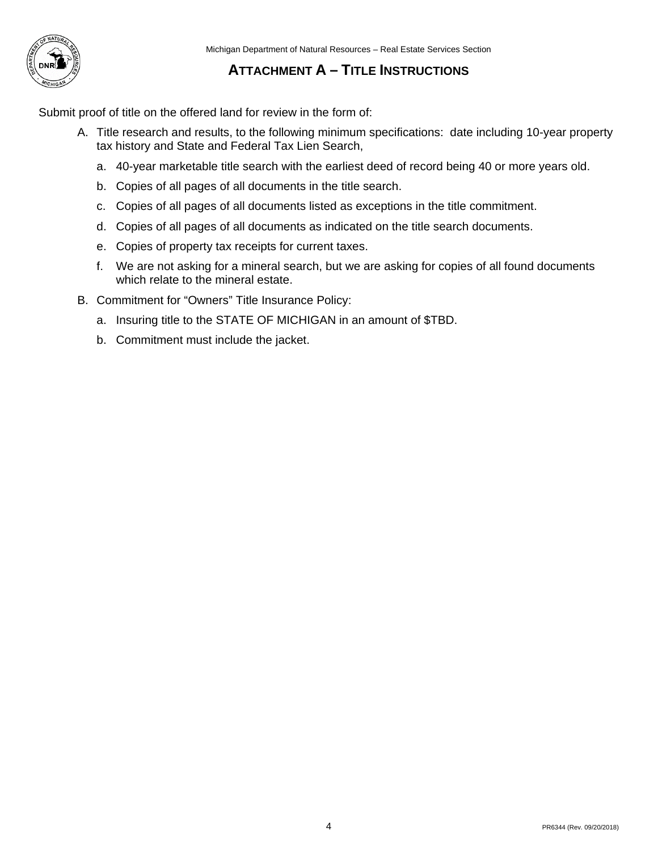

## **ATTACHMENT A – TITLE INSTRUCTIONS**

Submit proof of title on the offered land for review in the form of:

- A. Title research and results, to the following minimum specifications: date including 10-year property tax history and State and Federal Tax Lien Search,
	- a. 40-year marketable title search with the earliest deed of record being 40 or more years old.
	- b. Copies of all pages of all documents in the title search.
	- c. Copies of all pages of all documents listed as exceptions in the title commitment.
	- d. Copies of all pages of all documents as indicated on the title search documents.
	- e. Copies of property tax receipts for current taxes.
	- f. We are not asking for a mineral search, but we are asking for copies of all found documents which relate to the mineral estate.
- B. Commitment for "Owners" Title Insurance Policy:
	- a. Insuring title to the STATE OF MICHIGAN in an amount of \$TBD.
	- b. Commitment must include the jacket.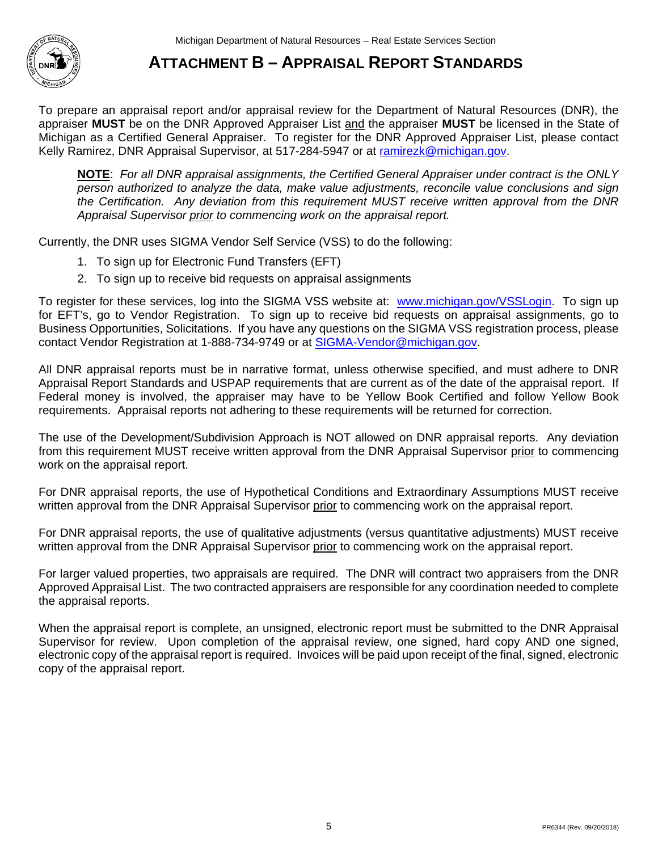

# **ATTACHMENT B – APPRAISAL REPORT STANDARDS**

To prepare an appraisal report and/or appraisal review for the Department of Natural Resources (DNR), the appraiser **MUST** be on the DNR Approved Appraiser List and the appraiser **MUST** be licensed in the State of Michigan as a Certified General Appraiser. To register for the DNR Approved Appraiser List, please contact Kelly Ramirez, DNR Appraisal Supervisor, at 517-284-5947 or at [ramirezk@michigan.gov.](mailto:ramirezk@michigan.gov)

**NOTE**: *For all DNR appraisal assignments, the Certified General Appraiser under contract is the ONLY person authorized to analyze the data, make value adjustments, reconcile value conclusions and sign the Certification. Any deviation from this requirement MUST receive written approval from the DNR Appraisal Supervisor prior to commencing work on the appraisal report.* 

Currently, the DNR uses SIGMA Vendor Self Service (VSS) to do the following:

- 1. To sign up for Electronic Fund Transfers (EFT)
- 2. To sign up to receive bid requests on appraisal assignments

To register for these services, log into the SIGMA VSS website at: [www.michigan.gov/VSSLogin.](http://www.michigan.gov/VSSLogin) To sign up Business Opportunities, Solicitations. If you have any questions on the SIGMA VSS registration process, please for EFT's, go to Vendor Registration. To sign up to receive bid requests on appraisal assignments, go to contact Vendor Registration at 1-888-734-9749 or at [SIGMA-Vendor@michigan.gov.](mailto:SIGMA-Vendor@michigan.gov)

 All DNR appraisal reports must be in narrative format, unless otherwise specified, and must adhere to DNR Appraisal Report Standards and USPAP requirements that are current as of the date of the appraisal report. If Federal money is involved, the appraiser may have to be Yellow Book Certified and follow Yellow Book requirements. Appraisal reports not adhering to these requirements will be returned for correction.

from this requirement MUST receive written approval from the DNR Appraisal Supervisor prior to commencing The use of the Development/Subdivision Approach is NOT allowed on DNR appraisal reports. Any deviation work on the appraisal report.

For DNR appraisal reports, the use of Hypothetical Conditions and Extraordinary Assumptions MUST receive written approval from the DNR Appraisal Supervisor prior to commencing work on the appraisal report.

 For DNR appraisal reports, the use of qualitative adjustments (versus quantitative adjustments) MUST receive written approval from the DNR Appraisal Supervisor prior to commencing work on the appraisal report.

 For larger valued properties, two appraisals are required. The DNR will contract two appraisers from the DNR Approved Appraisal List. The two contracted appraisers are responsible for any coordination needed to complete the appraisal reports.

When the appraisal report is complete, an unsigned, electronic report must be submitted to the DNR Appraisal Supervisor for review. Upon completion of the appraisal review, one signed, hard copy AND one signed, electronic copy of the appraisal report is required. Invoices will be paid upon receipt of the final, signed, electronic copy of the appraisal report.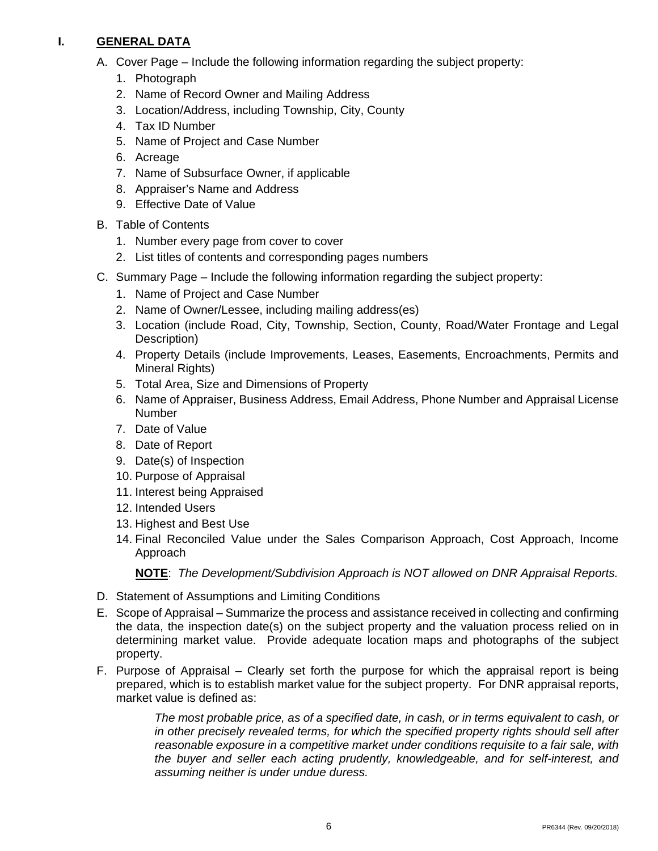#### **I. GENERAL DATA**

- A. Cover Page Include the following information regarding the subject property:
	- 1. Photograph
	- 2. Name of Record Owner and Mailing Address
	- 3. Location/Address, including Township, City, County
	- 4. Tax ID Number
	- 5. Name of Project and Case Number
	- 6. Acreage
	- 7. Name of Subsurface Owner, if applicable
	- 8. Appraiser's Name and Address
	- 9. Effective Date of Value
- B. Table of Contents
	- 1. Number every page from cover to cover
	- 2. List titles of contents and corresponding pages numbers
- C. Summary Page Include the following information regarding the subject property:
	- 1. Name of Project and Case Number
	- 2. Name of Owner/Lessee, including mailing address(es)
	- 3. Location (include Road, City, Township, Section, County, Road/Water Frontage and Legal Description)
	- 4. Property Details (include Improvements, Leases, Easements, Encroachments, Permits and Mineral Rights)
	- 5. Total Area, Size and Dimensions of Property
	- 6. Name of Appraiser, Business Address, Email Address, Phone Number and Appraisal License Number
	- 7. Date of Value
	- 8. Date of Report
	- 9. Date(s) of Inspection
	- 10. Purpose of Appraisal
	- 11. Interest being Appraised
	- 12. Intended Users
	- 13. Highest and Best Use
	- 14. Final Reconciled Value under the Sales Comparison Approach, Cost Approach, Income Approach

**NOTE**: *The Development/Subdivision Approach is NOT allowed on DNR Appraisal Reports.* 

- D. Statement of Assumptions and Limiting Conditions
- E. Scope of Appraisal Summarize the process and assistance received in collecting and confirming the data, the inspection date(s) on the subject property and the valuation process relied on in determining market value. Provide adequate location maps and photographs of the subject property.
- prepared, which is to establish market value for the subject property. For DNR appraisal reports, F. Purpose of Appraisal – Clearly set forth the purpose for which the appraisal report is being market value is defined as:

 *The most probable price, as of a specified date, in cash, or in terms equivalent to cash, or*  in other precisely revealed terms, for which the specified property rights should sell after  *reasonable exposure in a competitive market under conditions requisite to a fair sale, with the buyer and seller each acting prudently, knowledgeable, and for self-interest, and assuming neither is under undue duress.*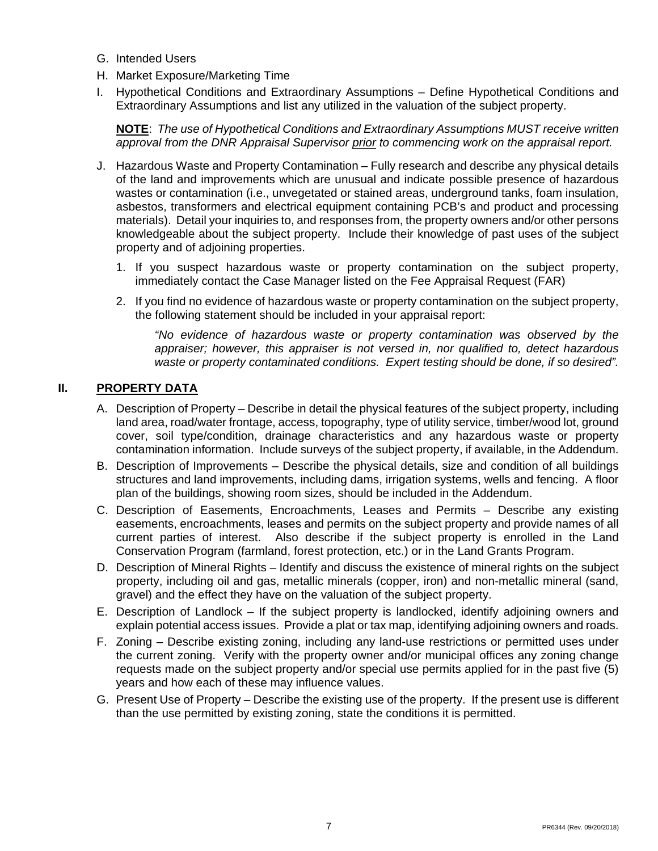- G. Intended Users
- H. Market Exposure/Marketing Time
- I. Hypothetical Conditions and Extraordinary Assumptions Define Hypothetical Conditions and Extraordinary Assumptions and list any utilized in the valuation of the subject property.

 **NOTE**: *The use of Hypothetical Conditions and Extraordinary Assumptions MUST receive written approval from the DNR Appraisal Supervisor prior to commencing work on the appraisal report.* 

- J. Hazardous Waste and Property Contamination Fully research and describe any physical details materials). Detail your inquiries to, and responses from, the property owners and/or other persons knowledgeable about the subject property. Include their knowledge of past uses of the subject property and of adjoining properties. of the land and improvements which are unusual and indicate possible presence of hazardous wastes or contamination (i.e., unvegetated or stained areas, underground tanks, foam insulation, asbestos, transformers and electrical equipment containing PCB's and product and processing
	- property and of adjoining properties.<br>1. If you suspect hazardous waste or property contamination on the subject property, immediately contact the Case Manager listed on the Fee Appraisal Request (FAR)
	- 2. If you find no evidence of hazardous waste or property contamination on the subject property, the following statement should be included in your appraisal report:

*"No evidence of hazardous waste or property contamination was observed by the appraiser; however, this appraiser is not versed in, nor qualified to, detect hazardous waste or property contaminated conditions. Expert testing should be done, if so desired".* 

### **II. PROPERTY DATA**

- A. Description of Property Describe in detail the physical features of the subject property, including contamination information. Include surveys of the subject property, if available, in the Addendum. land area, road/water frontage, access, topography, type of utility service, timber/wood lot, ground cover, soil type/condition, drainage characteristics and any hazardous waste or property
- B. Description of Improvements Describe the physical details, size and condition of all buildings structures and land improvements, including dams, irrigation systems, wells and fencing. A floor plan of the buildings, showing room sizes, should be included in the Addendum.
- C. Description of Easements, Encroachments, Leases and Permits Describe any existing easements, encroachments, leases and permits on the subject property and provide names of all current parties of interest. Also describe if the subject property is enrolled in the Land Conservation Program (farmland, forest protection, etc.) or in the Land Grants Program.
- D. Description of Mineral Rights Identify and discuss the existence of mineral rights on the subject property, including oil and gas, metallic minerals (copper, iron) and non-metallic mineral (sand, gravel) and the effect they have on the valuation of the subject property.
- explain potential access issues. Provide a plat or tax map, identifying adjoining owners and roads. E. Description of Landlock – If the subject property is landlocked, identify adjoining owners and
- explain potential access issues. Provide a plat or tax map, identifying adjoining owners and roads.<br>F. Zoning Describe existing zoning, including any land-use restrictions or permitted uses under requests made on the subject property and/or special use permits applied for in the past five (5) the current zoning. Verify with the property owner and/or municipal offices any zoning change years and how each of these may influence values.
- G. Present Use of Property Describe the existing use of the property. If the present use is different than the use permitted by existing zoning, state the conditions it is permitted.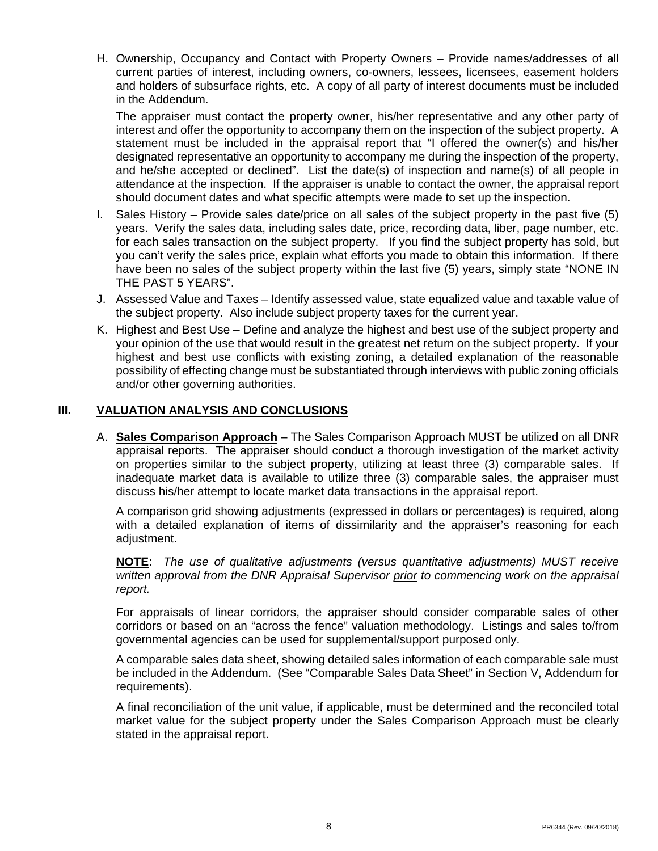H. Ownership, Occupancy and Contact with Property Owners – Provide names/addresses of all current parties of interest, including owners, co-owners, lessees, licensees, easement holders and holders of subsurface rights, etc. A copy of all party of interest documents must be included in the Addendum.

 and he/she accepted or declined". List the date(s) of inspection and name(s) of all people in The appraiser must contact the property owner, his/her representative and any other party of interest and offer the opportunity to accompany them on the inspection of the subject property. A statement must be included in the appraisal report that "I offered the owner(s) and his/her designated representative an opportunity to accompany me during the inspection of the property, attendance at the inspection. If the appraiser is unable to contact the owner, the appraisal report should document dates and what specific attempts were made to set up the inspection.

- have been no sales of the subject property within the last five (5) years, simply state "NONE IN THE PAST 5 YEARS". I. Sales History – Provide sales date/price on all sales of the subject property in the past five  $(5)$ years. Verify the sales data, including sales date, price, recording data, liber, page number, etc. for each sales transaction on the subject property. If you find the subject property has sold, but you can't verify the sales price, explain what efforts you made to obtain this information. If there
- J. Assessed Value and Taxes Identify assessed value, state equalized value and taxable value of the subject property. Also include subject property taxes for the current year.
- K. Highest and Best Use Define and analyze the highest and best use of the subject property and your opinion of the use that would result in the greatest net return on the subject property. If your highest and best use conflicts with existing zoning, a detailed explanation of the reasonable possibility of effecting change must be substantiated through interviews with public zoning officials and/or other governing authorities.

### **III. VALUATION ANALYSIS AND CONCLUSIONS**

A. Sales Comparison Approach – The Sales Comparison Approach MUST be utilized on all DNR appraisal reports. The appraiser should conduct a thorough investigation of the market activity on properties similar to the subject property, utilizing at least three (3) comparable sales. If inadequate market data is available to utilize three (3) comparable sales, the appraiser must discuss his/her attempt to locate market data transactions in the appraisal report.

A comparison grid showing adjustments (expressed in dollars or percentages) is required, along with a detailed explanation of items of dissimilarity and the appraiser's reasoning for each adjustment.

**NOTE**: *The use of qualitative adjustments (versus quantitative adjustments) MUST receive written approval from the DNR Appraisal Supervisor prior to commencing work on the appraisal report.* 

For appraisals of linear corridors, the appraiser should consider comparable sales of other corridors or based on an "across the fence" valuation methodology. Listings and sales to/from governmental agencies can be used for supplemental/support purposed only.

 be included in the Addendum. (See "Comparable Sales Data Sheet" in Section V, Addendum for A comparable sales data sheet, showing detailed sales information of each comparable sale must requirements).

 A final reconciliation of the unit value, if applicable, must be determined and the reconciled total market value for the subject property under the Sales Comparison Approach must be clearly stated in the appraisal report.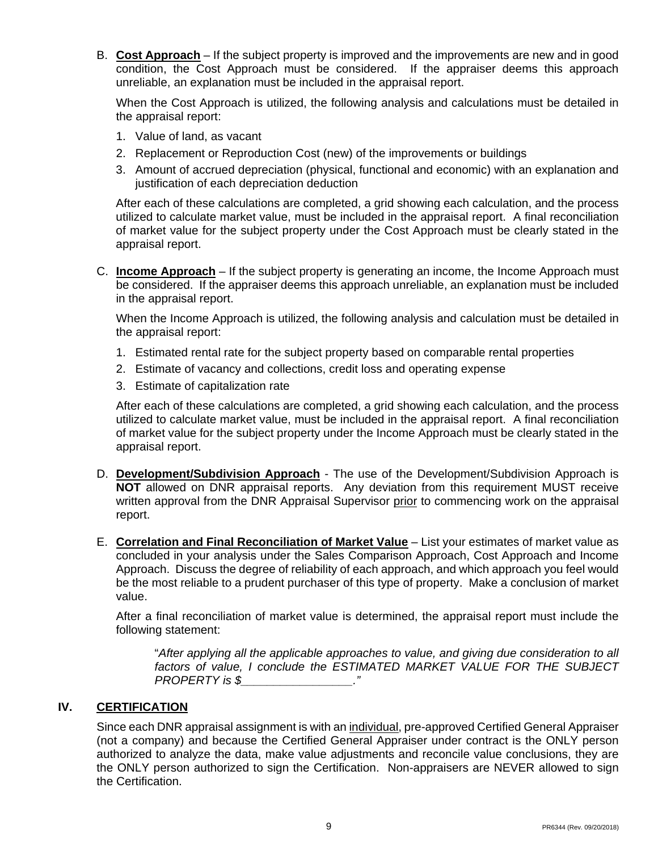B. Cost Approach – If the subject property is improved and the improvements are new and in good condition, the Cost Approach must be considered. If the appraiser deems this approach unreliable, an explanation must be included in the appraisal report.

When the Cost Approach is utilized, the following analysis and calculations must be detailed in the appraisal report:

- 1. Value of land, as vacant
- 2. Replacement or Reproduction Cost (new) of the improvements or buildings
- 3. Amount of accrued depreciation (physical, functional and economic) with an explanation and justification of each depreciation deduction

 utilized to calculate market value, must be included in the appraisal report. A final reconciliation After each of these calculations are completed, a grid showing each calculation, and the process of market value for the subject property under the Cost Approach must be clearly stated in the appraisal report.

C. Income Approach – If the subject property is generating an income, the Income Approach must be considered. If the appraiser deems this approach unreliable, an explanation must be included in the appraisal report.

When the Income Approach is utilized, the following analysis and calculation must be detailed in the appraisal report:

- 1. Estimated rental rate for the subject property based on comparable rental properties
- 2. Estimate of vacancy and collections, credit loss and operating expense
- 3. Estimate of capitalization rate

 utilized to calculate market value, must be included in the appraisal report. A final reconciliation After each of these calculations are completed, a grid showing each calculation, and the process of market value for the subject property under the Income Approach must be clearly stated in the appraisal report.

- D. Development/Subdivision Approach The use of the Development/Subdivision Approach is **NOT** allowed on DNR appraisal reports. Any deviation from this requirement MUST receive written approval from the DNR Appraisal Supervisor prior to commencing work on the appraisal report.
- E. Correlation and Final Reconciliation of Market Value List your estimates of market value as concluded in your analysis under the Sales Comparison Approach, Cost Approach and Income Approach. Discuss the degree of reliability of each approach, and which approach you feel would be the most reliable to a prudent purchaser of this type of property. Make a conclusion of market value.

After a final reconciliation of market value is determined, the appraisal report must include the following statement:

 *PROPERTY is \$\_\_\_\_\_\_\_\_\_\_\_\_\_\_\_\_\_."* "*After applying all the applicable approaches to value, and giving due consideration to all factors of value, I conclude the ESTIMATED MARKET VALUE FOR THE SUBJECT* 

#### **IV. CERTIFICATION**

Since each DNR appraisal assignment is with an <u>individual,</u> pre-approved Certified General Appraiser authorized to analyze the data, make value adjustments and reconcile value conclusions, they are (not a company) and because the Certified General Appraiser under contract is the ONLY person the ONLY person authorized to sign the Certification. Non-appraisers are NEVER allowed to sign the Certification.